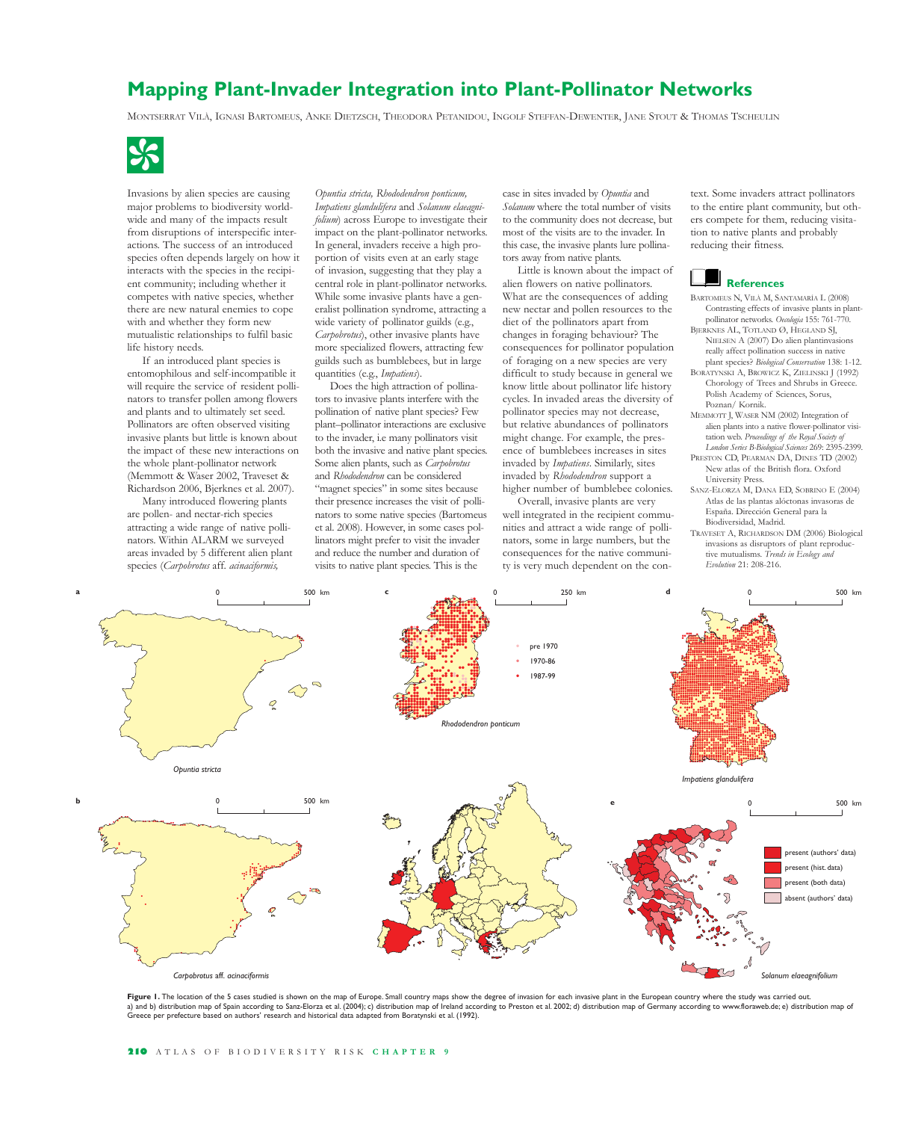# **Mapping Plant-Invader Integration into Plant-Pollinator Networks**

MONTSERRAT VILÀ, IGNASI BARTOMEUS, ANKE DIETZSCH, THEODORA PETANIDOU, INGOLF STEFFAN-DEWENTER, JANE STOUT & THOMAS TSCHEULIN -



Invasions by alien species are causing major problems to biodiversity worldwide and many of the impacts result from disruptions of interspecific interactions. The success of an introduced species often depends largely on how it interacts with the species in the recipient community; including whether it competes with native species, whether there are new natural enemies to cope with and whether they form new mutualistic relationships to fulfil basic life history needs.

If an introduced plant species is entomophilous and self-incompatible it will require the service of resident pollinators to transfer pollen among flowers and plants and to ultimately set seed. Pollinators are often observed visiting invasive plants but little is known about the impact of these new interactions on the whole plant-pollinator network (Memmott & Waser 2002, Traveset & Richardson 2006, Bjerknes et al. 2007).

Many introduced flowering plants are pollen- and nectar-rich species attracting a wide range of native pollinators. Within ALARM we surveyed areas invaded by 5 different alien plant species (*Carpobrotus* aff. *acinaciformis,* 

**a**

**b**

*Opuntia stricta, Rhododendron ponticum, Impatiens glandulifera* and *Solanum elaeagnifolium*) across Europe to investigate their impact on the plant-pollinator networks. In general, invaders receive a high proportion of visits even at an early stage of invasion, suggesting that they play a central role in plant-pollinator networks. While some invasive plants have a generalist pollination syndrome, attracting a wide variety of pollinator guilds (e.g., *Carpobrotus*), other invasive plants have more specialized flowers, attracting few guilds such as bumblebees, but in large quantities (e.g., *Impatiens*).

Does the high attraction of pollinators to invasive plants interfere with the pollination of native plant species? Few plant–pollinator interactions are exclusive to the invader, i.e many pollinators visit both the invasive and native plant species. Some alien plants, such as *Carpobrotus* and *Rhododendron* can be considered "magnet species" in some sites because their presence increases the visit of pollinators to some native species (Bartomeus et al. 2008). However, in some cases pollinators might prefer to visit the invader and reduce the number and duration of visits to native plant species. This is the

case in sites invaded by *Opuntia* and *Solanum* where the total number of visits to the community does not decrease, but most of the visits are to the invader. In this case, the invasive plants lure pollinators away from native plants.

Little is known about the impact of alien flowers on native pollinators. What are the consequences of adding new nectar and pollen resources to the diet of the pollinators apart from changes in foraging behaviour? The consequences for pollinator population of foraging on a new species are very difficult to study because in general we know little about pollinator life history cycles. In invaded areas the diversity of pollinator species may not decrease, but relative abundances of pollinators might change. For example, the presence of bumblebees increases in sites invaded by *Impatiens*. Similarly, sites invaded by *Rhododendron* support a higher number of bumblebee colonies.

Overall, invasive plants are very well integrated in the recipient communities and attract a wide range of pollinators, some in large numbers, but the consequences for the native community is very much dependent on the con-

text. Some invaders attract pollinators to the entire plant community, but others compete for them, reducing visitation to native plants and probably reducing their fitness.

# **References**

- BARTOMEUS N, VILÀ M, SANTAMARÍA L (2008) Contrasting effects of invasive plants in plantpollinator networks. *Oecologia* 155: 761-770. BJERKNES AL, TOTLAND Ø, HEGLAND SJ,
- NIELSEN A (2007) Do alien plantinvasions really affect pollination success in native plant species? *Biological Conservation* 138: 1-12. BORATYNSKI A, BROWICZ K, ZIELINSKI J (1992)
- Chorology of Trees and Shrubs in Greece. Polish Academy of Sciences, Sorus, Poznan/ Kornik.
- MEMMOTT J, WASER NM (2002) Integration of alien plants into a native flower-pollinator visitation web. *Proceedings of the Royal Society of London Series B-Biological Sciences* 269: 2395-2399.
- PRESTON CD, PEARMAN DA, DINES TD (2002) New atlas of the British flora. Oxford University Press.
- SANZ-ELORZA M, DANA ED, SOBRINO E (2004) Atlas de las plantas alóctonas invasoras de España. Dirección General para la Biodiversidad, Madrid.
- TRAVESET A, RICHARDSON DM (2006) Biological invasions as disruptors of plant reproductive mutualisms. *Trends in Ecology and Evolution* 21: 208-216.



Figure 1. The location of the 5 cases studied is shown on the map of Europe. Small country maps show the degree of invasion for each invasive plant in the European country where the study was carried out. a) and b) distribution map of Spain according to Sanz-Elorza et al. (2004); c) distribution map of Ireland according to Preston et al. 2002; d) distribution map of Germany according to www.floraweb.de; e) distribution map Greece per prefecture based on authors' research and historical data adapted from Boratynski et al. (1992).